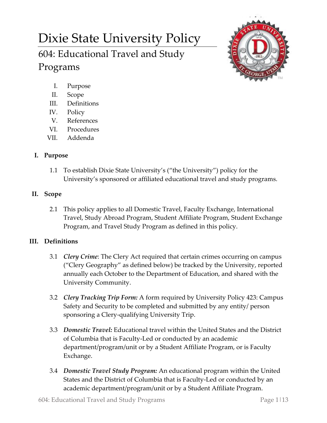# Dixie State University Policy 604: Educational Travel and Study Programs



- I. Purpose
- II. Scope
- III. Definitions
- IV. Policy
- V. References
- VI. Procedures
- VII. Addenda

# **I. Purpose**

1.1 To establish Dixie State University's ("the University") policy for the University's sponsored or affiliated educational travel and study programs.

# **II. Scope**

2.1 This policy applies to all Domestic Travel, Faculty Exchange, International Travel, Study Abroad Program, Student Affiliate Program, Student Exchange Program, and Travel Study Program as defined in this policy.

# **III. Definitions**

- 3.1 *Clery Crime*: The Clery Act required that certain crimes occurring on campus ("Clery Geography" as defined below) be tracked by the University, reported annually each October to the Department of Education, and shared with the University Community.
- 3.2 *Clery Tracking Trip Form:* A form required by University Policy 423: Campus Safety and Security to be completed and submitted by any entity/ person sponsoring a Clery-qualifying University Trip.
- 3.3 *Domestic Travel:* Educational travel within the United States and the District of Columbia that is Faculty-Led or conducted by an academic department/program/unit or by a Student Affiliate Program, or is Faculty Exchange.
- 3.4 *Domestic Travel Study Program:* An educational program within the United States and the District of Columbia that is Faculty-Led or conducted by an academic department/program/unit or by a Student Affiliate Program.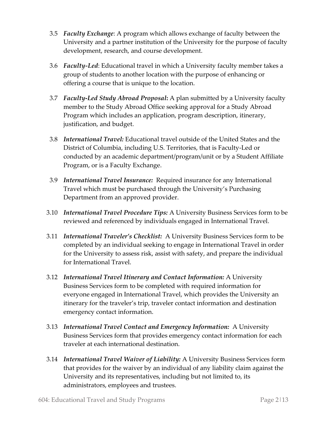- 3.5 *Faculty Exchange*: A program which allows exchange of faculty between the University and a partner institution of the University for the purpose of faculty development, research, and course development.
- 3.6 *Faculty-Led*: Educational travel in which a University faculty member takes a group of students to another location with the purpose of enhancing or offering a course that is unique to the location.
- 3.7 *Faculty***-***Led Study Abroad Proposal***:** A plan submitted by a University faculty member to the Study Abroad Office seeking approval for a Study Abroad Program which includes an application, program description, itinerary, justification, and budget.
- 3.8 *International Travel:* Educational travel outside of the United States and the District of Columbia, including U.S. Territories, that is Faculty-Led or conducted by an academic department/program/unit or by a Student Affiliate Program, or is a Faculty Exchange.
- 3.9 *International Travel Insurance:* Required insurance for any International Travel which must be purchased through the University's Purchasing Department from an approved provider.
- 3.10 *International Travel Procedure Tips:* A University Business Services form to be reviewed and referenced by individuals engaged in International Travel.
- 3.11 *International Traveler's Checklist:* A University Business Services form to be completed by an individual seeking to engage in International Travel in order for the University to assess risk, assist with safety, and prepare the individual for International Travel.
- 3.12 *International Travel Itinerary and Contact Information:* A University Business Services form to be completed with required information for everyone engaged in International Travel, which provides the University an itinerary for the traveler's trip, traveler contact information and destination emergency contact information.
- 3.13 *International Travel Contact and Emergency Information:* A University Business Services form that provides emergency contact information for each traveler at each international destination.
- 3.14 *International Travel Waiver of Liability:* A University Business Services form that provides for the waiver by an individual of any liability claim against the University and its representatives, including but not limited to, its administrators, employees and trustees.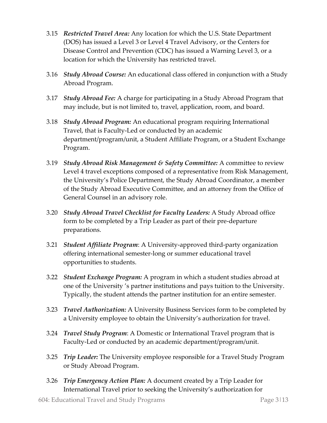- 3.15 *Restricted Travel Area:* Any location for which the U.S. State Department (DOS) has issued a Level 3 or Level 4 Travel Advisory, or the Centers for Disease Control and Prevention (CDC) has issued a Warning Level 3, or a location for which the University has restricted travel.
- 3.16 *Study Abroad Course:* An educational class offered in conjunction with a Study Abroad Program.
- 3.17 *Study Abroad Fee:* A charge for participating in a Study Abroad Program that may include, but is not limited to, travel, application, room, and board.
- 3.18 *Study Abroad Program:* An educational program requiring International Travel, that is Faculty-Led or conducted by an academic department/program/unit, a Student Affiliate Program, or a Student Exchange Program.
- 3.19 *Study Abroad Risk Management & Safety Committee:* A committee to review Level 4 travel exceptions composed of a representative from Risk Management, the University's Police Department, the Study Abroad Coordinator, a member of the Study Abroad Executive Committee, and an attorney from the Office of General Counsel in an advisory role.
- 3.20 *Study Abroad Travel Checklist for Faculty Leaders:* A Study Abroad office form to be completed by a Trip Leader as part of their pre-departure preparations.
- 3.21 *Student Affiliate Program*: A University-approved third-party organization offering international semester-long or summer educational travel opportunities to students.
- 3.22 *Student Exchange Program:* A program in which a student studies abroad at one of the University 's partner institutions and pays tuition to the University. Typically, the student attends the partner institution for an entire semester.
- 3.23 *Travel Authorization:* A University Business Services form to be completed by a University employee to obtain the University's authorization for travel.
- 3.24 *Travel Study Program*: A Domestic or International Travel program that is Faculty-Led or conducted by an academic department/program/unit.
- 3.25 *Trip Leader:* The University employee responsible for a Travel Study Program or Study Abroad Program.
- 3.26 *Trip Emergency Action Plan:* A document created by a Trip Leader for International Travel prior to seeking the University's authorization for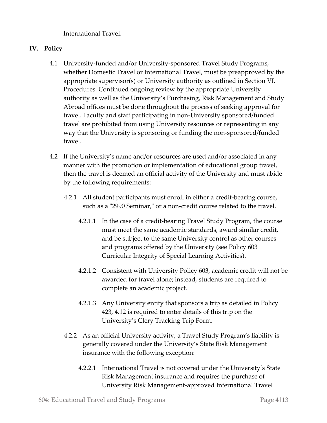International Travel.

## **IV. Policy**

- 4.1 University-funded and/or University-sponsored Travel Study Programs, whether Domestic Travel or International Travel, must be preapproved by the appropriate supervisor(s) or University authority as outlined in Section VI. Procedures. Continued ongoing review by the appropriate University authority as well as the University's Purchasing, Risk Management and Study Abroad offices must be done throughout the process of seeking approval for travel. Faculty and staff participating in non-University sponsored/funded travel are prohibited from using University resources or representing in any way that the University is sponsoring or funding the non-sponsored/funded travel.
- 4.2 If the University's name and/or resources are used and/or associated in any manner with the promotion or implementation of educational group travel, then the travel is deemed an official activity of the University and must abide by the following requirements:
	- 4.2.1 All student participants must enroll in either a credit-bearing course, such as a "2990 Seminar," or a non-credit course related to the travel.
		- 4.2.1.1 In the case of a credit-bearing Travel Study Program, the course must meet the same academic standards, award similar credit, and be subject to the same University control as other courses and programs offered by the University (see Policy 603 Curricular Integrity of Special Learning Activities).
		- 4.2.1.2 Consistent with University Policy 603, academic credit will not be awarded for travel alone; instead, students are required to complete an academic project.
		- 4.2.1.3 Any University entity that sponsors a trip as detailed in Policy 423, 4.12 is required to enter details of this trip on the University's Clery Tracking Trip Form.
	- 4.2.2 As an official University activity, a Travel Study Program's liability is generally covered under the University's State Risk Management insurance with the following exception:
		- 4.2.2.1 International Travel is not covered under the University's State Risk Management insurance and requires the purchase of University Risk Management-approved International Travel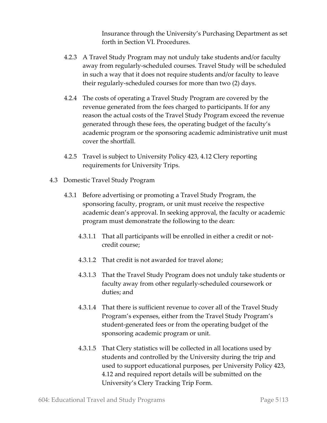Insurance through the University's Purchasing Department as set forth in Section VI. Procedures.

- 4.2.3 A Travel Study Program may not unduly take students and/or faculty away from regularly-scheduled courses. Travel Study will be scheduled in such a way that it does not require students and/or faculty to leave their regularly-scheduled courses for more than two (2) days.
- 4.2.4 The costs of operating a Travel Study Program are covered by the revenue generated from the fees charged to participants. If for any reason the actual costs of the Travel Study Program exceed the revenue generated through these fees, the operating budget of the faculty's academic program or the sponsoring academic administrative unit must cover the shortfall.
- 4.2.5 Travel is subject to University Policy 423, 4.12 Clery reporting requirements for University Trips.
- 4.3 Domestic Travel Study Program
	- 4.3.1 Before advertising or promoting a Travel Study Program, the sponsoring faculty, program, or unit must receive the respective academic dean's approval. In seeking approval, the faculty or academic program must demonstrate the following to the dean:
		- 4.3.1.1 That all participants will be enrolled in either a credit or notcredit course;
		- 4.3.1.2 That credit is not awarded for travel alone;
		- 4.3.1.3 That the Travel Study Program does not unduly take students or faculty away from other regularly-scheduled coursework or duties; and
		- 4.3.1.4 That there is sufficient revenue to cover all of the Travel Study Program's expenses, either from the Travel Study Program's student-generated fees or from the operating budget of the sponsoring academic program or unit.
		- 4.3.1.5 That Clery statistics will be collected in all locations used by students and controlled by the University during the trip and used to support educational purposes, per University Policy 423, 4.12 and required report details will be submitted on the University's Clery Tracking Trip Form.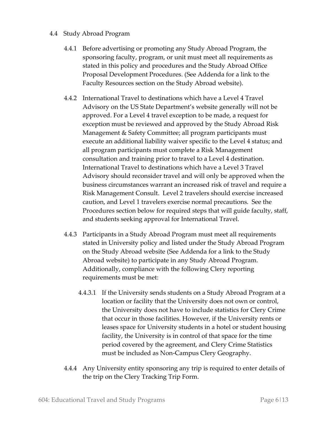#### 4.4 Study Abroad Program

- 4.4.1 Before advertising or promoting any Study Abroad Program, the sponsoring faculty, program, or unit must meet all requirements as stated in this policy and procedures and the Study Abroad Office Proposal Development Procedures. (See Addenda for a link to the Faculty Resources section on the Study Abroad website).
- 4.4.2 International Travel to destinations which have a Level 4 Travel Advisory on the US State Department's website generally will not be approved. For a Level 4 travel exception to be made, a request for exception must be reviewed and approved by the Study Abroad Risk Management & Safety Committee; all program participants must execute an additional liability waiver specific to the Level 4 status; and all program participants must complete a Risk Management consultation and training prior to travel to a Level 4 destination. International Travel to destinations which have a Level 3 Travel Advisory should reconsider travel and will only be approved when the business circumstances warrant an increased risk of travel and require a Risk Management Consult. Level 2 travelers should exercise increased caution, and Level 1 travelers exercise normal precautions. See the Procedures section below for required steps that will guide faculty, staff, and students seeking approval for International Travel.
- 4.4.3 Participants in a Study Abroad Program must meet all requirements stated in University policy and listed under the Study Abroad Program on the Study Abroad website (See Addenda for a link to the Study Abroad website) to participate in any Study Abroad Program. Additionally, compliance with the following Clery reporting requirements must be met:
	- 4.4.3.1 If the University sends students on a Study Abroad Program at a location or facility that the University does not own or control, the University does not have to include statistics for Clery Crime that occur in those facilities. However, if the University rents or leases space for University students in a hotel or student housing facility, the University is in control of that space for the time period covered by the agreement, and Clery Crime Statistics must be included as Non-Campus Clery Geography.
- 4.4.4 Any University entity sponsoring any trip is required to enter details of the trip on the Clery Tracking Trip Form.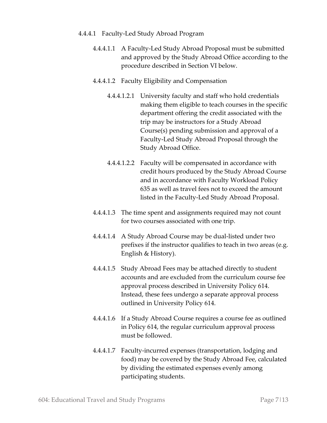- 4.4.4.1 Faculty-Led Study Abroad Program
	- 4.4.4.1.1 A Faculty-Led Study Abroad Proposal must be submitted and approved by the Study Abroad Office according to the procedure described in Section VI below.
	- 4.4.4.1.2 Faculty Eligibility and Compensation
		- 4.4.4.1.2.1 University faculty and staff who hold credentials making them eligible to teach courses in the specific department offering the credit associated with the trip may be instructors for a Study Abroad Course(s) pending submission and approval of a Faculty-Led Study Abroad Proposal through the Study Abroad Office.
		- 4.4.4.1.2.2 Faculty will be compensated in accordance with credit hours produced by the Study Abroad Course and in accordance with Faculty Workload Policy 635 as well as travel fees not to exceed the amount listed in the Faculty-Led Study Abroad Proposal.
	- 4.4.4.1.3 The time spent and assignments required may not count for two courses associated with one trip.
	- 4.4.4.1.4 A Study Abroad Course may be dual-listed under two prefixes if the instructor qualifies to teach in two areas (e.g. English & History).
	- 4.4.4.1.5 Study Abroad Fees may be attached directly to student accounts and are excluded from the curriculum course fee approval process described in University Policy 614. Instead, these fees undergo a separate approval process outlined in University Policy 614.
	- 4.4.4.1.6 If a Study Abroad Course requires a course fee as outlined in Policy 614, the regular curriculum approval process must be followed.
	- 4.4.4.1.7 Faculty-incurred expenses (transportation, lodging and food) may be covered by the Study Abroad Fee, calculated by dividing the estimated expenses evenly among participating students.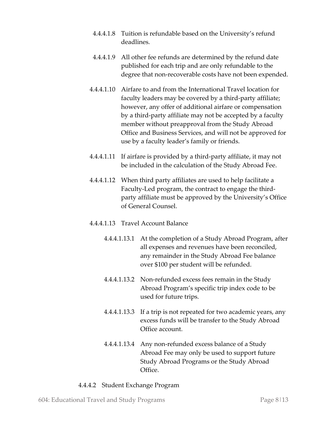- 4.4.4.1.8 Tuition is refundable based on the University's refund deadlines.
- 4.4.4.1.9 All other fee refunds are determined by the refund date published for each trip and are only refundable to the degree that non-recoverable costs have not been expended.
- 4.4.4.1.10 Airfare to and from the International Travel location for faculty leaders may be covered by a third-party affiliate; however, any offer of additional airfare or compensation by a third-party affiliate may not be accepted by a faculty member without preapproval from the Study Abroad Office and Business Services, and will not be approved for use by a faculty leader's family or friends.
- 4.4.4.1.11 If airfare is provided by a third-party affiliate, it may not be included in the calculation of the Study Abroad Fee.
- 4.4.4.1.12 When third party affiliates are used to help facilitate a Faculty-Led program, the contract to engage the thirdparty affiliate must be approved by the University's Office of General Counsel.

## 4.4.4.1.13 Travel Account Balance

- 4.4.4.1.13.1 At the completion of a Study Abroad Program, after all expenses and revenues have been reconciled, any remainder in the Study Abroad Fee balance over \$100 per student will be refunded.
- 4.4.4.1.13.2 Non-refunded excess fees remain in the Study Abroad Program's specific trip index code to be used for future trips.
- 4.4.4.1.13.3 If a trip is not repeated for two academic years, any excess funds will be transfer to the Study Abroad Office account.
- 4.4.4.1.13.4 Any non-refunded excess balance of a Study Abroad Fee may only be used to support future Study Abroad Programs or the Study Abroad Office.

#### 4.4.4.2 Student Exchange Program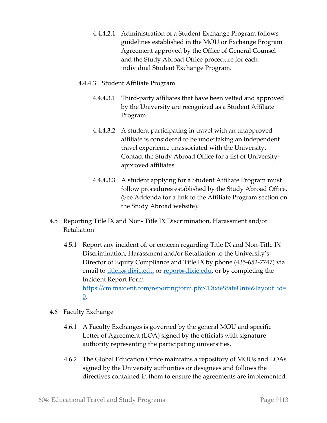4.4.4.2.1 Administration of a Student Exchange Program follows guidelines established in the MOU or Exchange Program Agreement approved by the Office of General Counsel and the Study Abroad Office procedure for each individual Student Exchange Program.

## 4.4.4.3 Student Affiliate Program

- 4.4.4.3.1 Third-party affiliates that have been vetted and approved by the University are recognized as a Student Affiliate Program.
- 4.4.4.3.2 A student participating in travel with an unapproved affiliate is considered to be undertaking an independent travel experience unassociated with the University. Contact the Study Abroad Office for a list of Universityapproved affiliates.
- 4.4.4.3.3 A student applying for a Student Affiliate Program must follow procedures established by the Study Abroad Office. (See Addenda for a link to the Affiliate Program section on the Study Abroad website).
- 4.5 Reporting Title IX and Non- Title IX Discrimination, Harassment and/or Retaliation
	- 4.5.1 Report any incident of, or concern regarding Title IX and Non-Title IX Discrimination, Harassment and/or Retaliation to the University's Director of Equity Compliance and Title IX by phone (435-652-7747) via email to [titleix@dixie.edu](mailto:titleix@dixie.edu) or [report@dixie.edu,](mailto:report@dixie.edu) or by completing the Incident Report Form [https://cm.maxient.com/reportingform.php?DixieStateUniv&layout\\_id=](https://cm.maxient.com/reportingform.php?DixieStateUniv&layout_id=0) [0.](https://cm.maxient.com/reportingform.php?DixieStateUniv&layout_id=0)
- 4.6 Faculty Exchange
	- 4.6.1 A Faculty Exchanges is governed by the general MOU and specific Letter of Agreement (LOA) signed by the officials with signature authority representing the participating universities.
	- 4.6.2 The Global Education Office maintains a repository of MOUs and LOAs signed by the University authorities or designees and follows the directives contained in them to ensure the agreements are implemented.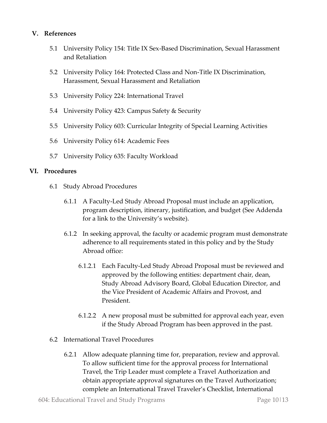#### **V. References**

- 5.1 University Policy 154: Title IX Sex-Based Discrimination, Sexual Harassment and Retaliation
- 5.2 University Policy 164: Protected Class and Non-Title IX Discrimination, Harassment, Sexual Harassment and Retaliation
- 5.3 University Policy 224: International Travel
- 5.4 University Policy 423: Campus Safety & Security
- 5.5 University Policy 603: Curricular Integrity of Special Learning Activities
- 5.6 University Policy 614: Academic Fees
- 5.7 University Policy 635: Faculty Workload

#### **VI. Procedures**

- 6.1 Study Abroad Procedures
	- 6.1.1 A Faculty-Led Study Abroad Proposal must include an application, program description, itinerary, justification, and budget (See Addenda for a link to the University's website).
	- 6.1.2 In seeking approval, the faculty or academic program must demonstrate adherence to all requirements stated in this policy and by the Study Abroad office:
		- 6.1.2.1 Each Faculty-Led Study Abroad Proposal must be reviewed and approved by the following entities: department chair, dean, Study Abroad Advisory Board, Global Education Director, and the Vice President of Academic Affairs and Provost, and President.
		- 6.1.2.2 A new proposal must be submitted for approval each year, even if the Study Abroad Program has been approved in the past.
- 6.2 International Travel Procedures
	- 6.2.1 Allow adequate planning time for, preparation, review and approval. To allow sufficient time for the approval process for International Travel, the Trip Leader must complete a Travel Authorization and obtain appropriate approval signatures on the Travel Authorization; complete an International Travel Traveler's Checklist, International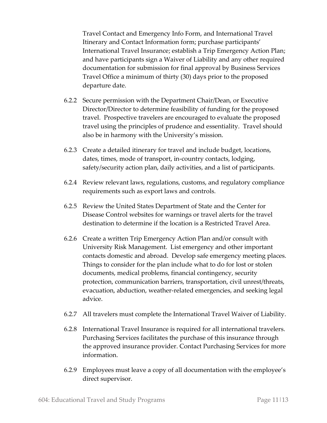Travel Contact and Emergency Info Form, and International Travel Itinerary and Contact Information form; purchase participants' International Travel Insurance; establish a Trip Emergency Action Plan; and have participants sign a Waiver of Liability and any other required documentation for submission for final approval by Business Services Travel Office a minimum of thirty (30) days prior to the proposed departure date.

- 6.2.2 Secure permission with the Department Chair/Dean, or Executive Director/Director to determine feasibility of funding for the proposed travel. Prospective travelers are encouraged to evaluate the proposed travel using the principles of prudence and essentiality. Travel should also be in harmony with the University's mission.
- 6.2.3 Create a detailed itinerary for travel and include budget, locations, dates, times, mode of transport, in-country contacts, lodging, safety/security action plan, daily activities, and a list of participants.
- 6.2.4 Review relevant laws, regulations, customs, and regulatory compliance requirements such as export laws and controls.
- 6.2.5 Review the United States Department of State and the Center for Disease Control websites for warnings or travel alerts for the travel destination to determine if the location is a Restricted Travel Area.
- 6.2.6 Create a written Trip Emergency Action Plan and/or consult with University Risk Management. List emergency and other important contacts domestic and abroad. Develop safe emergency meeting places. Things to consider for the plan include what to do for lost or stolen documents, medical problems, financial contingency, security protection, communication barriers, transportation, civil unrest/threats, evacuation, abduction, weather-related emergencies, and seeking legal advice.
- 6.2.7 All travelers must complete the International Travel Waiver of Liability.
- 6.2.8 International Travel Insurance is required for all international travelers. Purchasing Services facilitates the purchase of this insurance through the approved insurance provider. Contact Purchasing Services for more information.
- 6.2.9 Employees must leave a copy of all documentation with the employee's direct supervisor.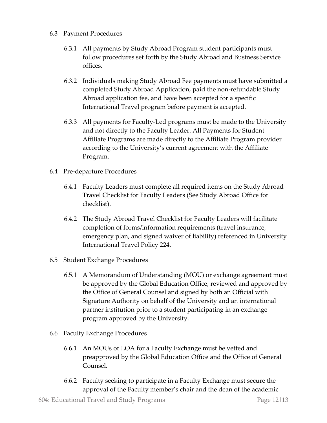- 6.3 Payment Procedures
	- 6.3.1 All payments by Study Abroad Program student participants must follow procedures set forth by the Study Abroad and Business Service offices.
	- 6.3.2 Individuals making Study Abroad Fee payments must have submitted a completed Study Abroad Application, paid the non-refundable Study Abroad application fee, and have been accepted for a specific International Travel program before payment is accepted.
	- 6.3.3 All payments for Faculty-Led programs must be made to the University and not directly to the Faculty Leader. All Payments for Student Affiliate Programs are made directly to the Affiliate Program provider according to the University's current agreement with the Affiliate Program.
- 6.4 Pre-departure Procedures
	- 6.4.1 Faculty Leaders must complete all required items on the Study Abroad Travel Checklist for Faculty Leaders (See Study Abroad Office for checklist).
	- 6.4.2 The Study Abroad Travel Checklist for Faculty Leaders will facilitate completion of forms/information requirements (travel insurance, emergency plan, and signed waiver of liability) referenced in University International Travel Policy 224.
- 6.5 Student Exchange Procedures
	- 6.5.1 A Memorandum of Understanding (MOU) or exchange agreement must be approved by the Global Education Office, reviewed and approved by the Office of General Counsel and signed by both an Official with Signature Authority on behalf of the University and an international partner institution prior to a student participating in an exchange program approved by the University.
- 6.6 Faculty Exchange Procedures
	- 6.6.1 An MOUs or LOA for a Faculty Exchange must be vetted and preapproved by the Global Education Office and the Office of General Counsel.
	- 6.6.2 Faculty seeking to participate in a Faculty Exchange must secure the approval of the Faculty member's chair and the dean of the academic